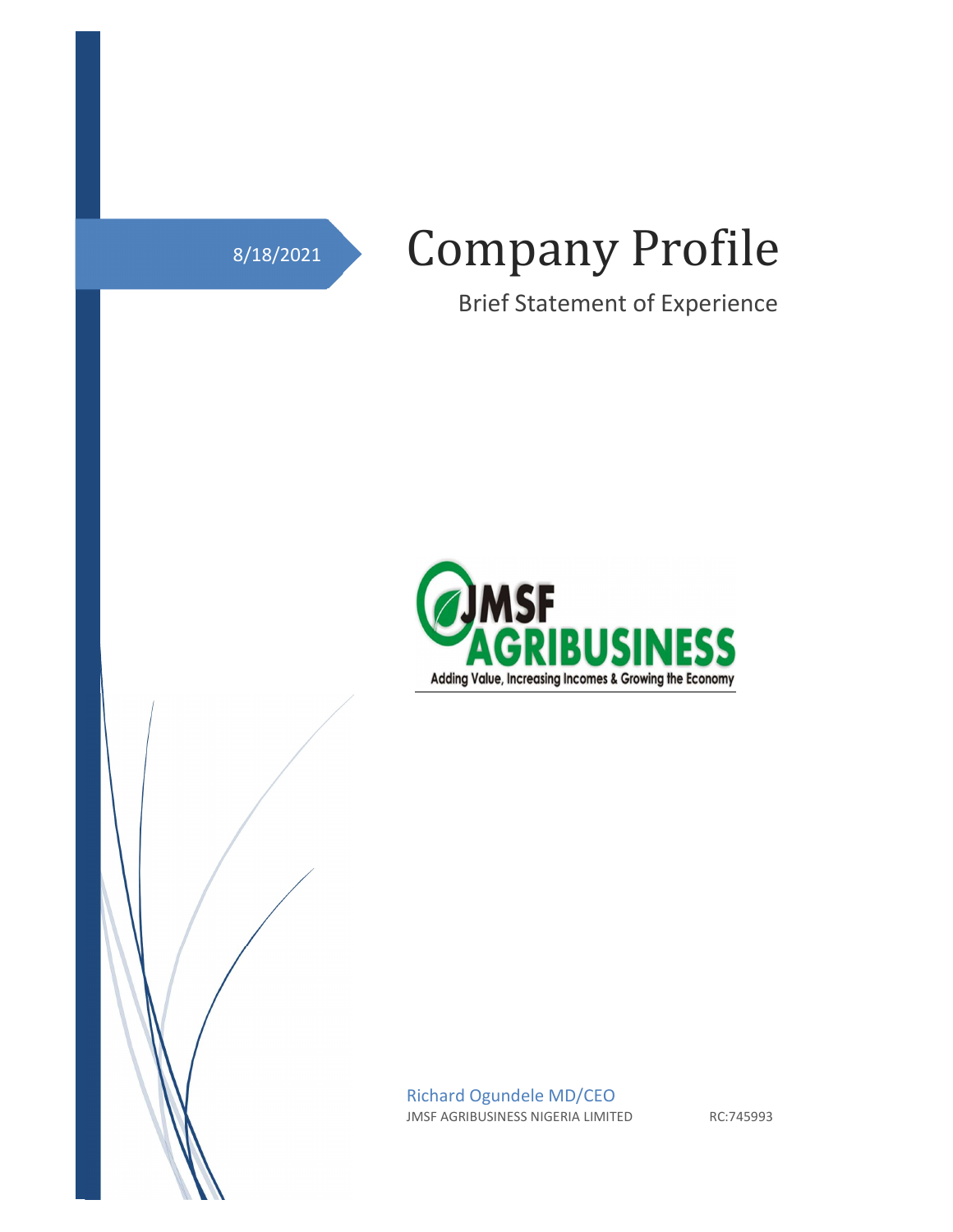

 $\overline{1}$ 

# Company Profile

Brief Statement of Experience



Richard Ogundele MD/CEO JMSF AGRIBUSINESS NIGERIA LIMITED RC:745993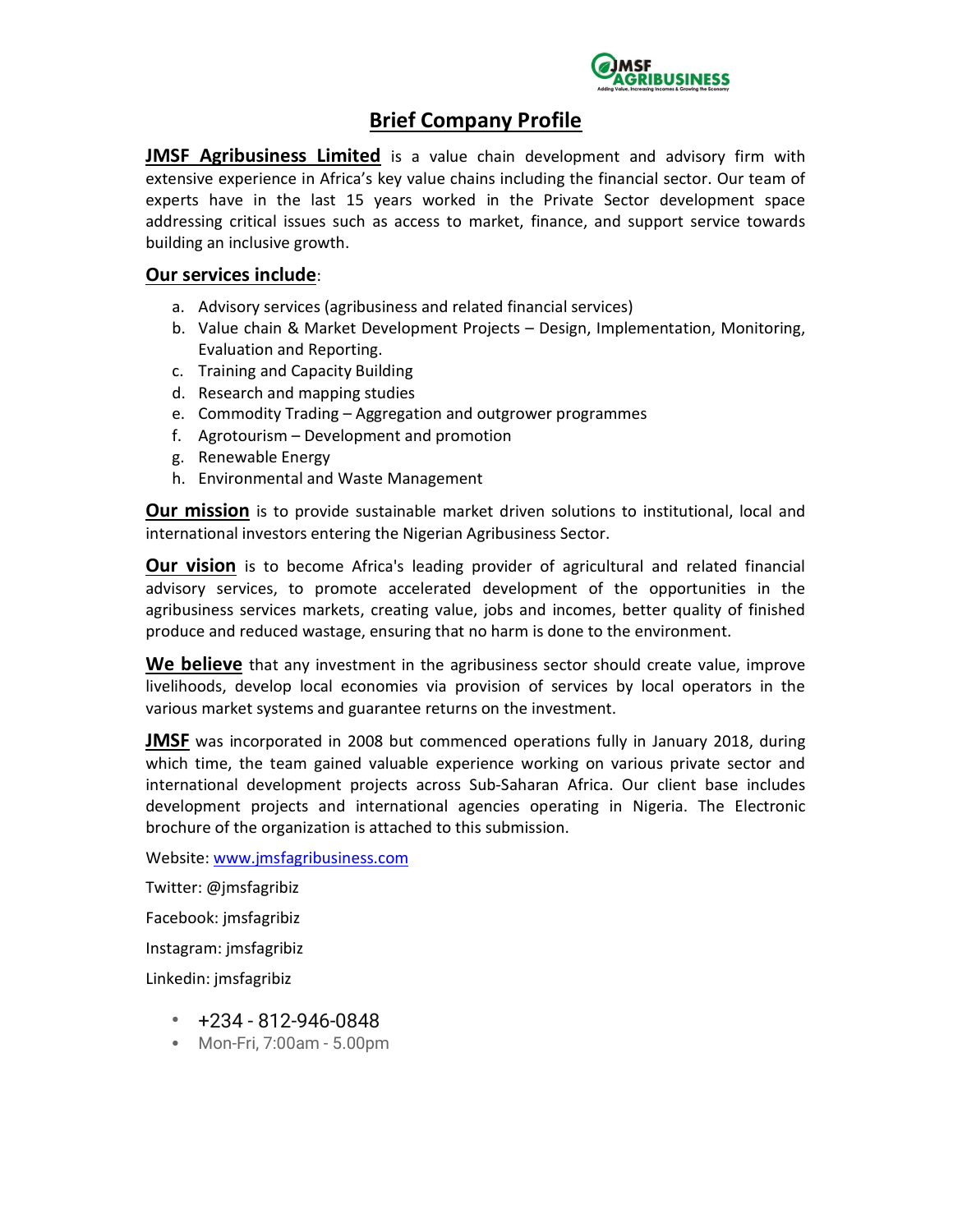

## Brief Company Profile

**JMSF Agribusiness Limited** is a value chain development and advisory firm with extensive experience in Africa's key value chains including the financial sector. Our team of experts have in the last 15 years worked in the Private Sector development space addressing critical issues such as access to market, finance, and support service towards building an inclusive growth.

#### Our services include:

- a. Advisory services (agribusiness and related financial services)
- b. Value chain & Market Development Projects Design, Implementation, Monitoring, Evaluation and Reporting.
- c. Training and Capacity Building
- d. Research and mapping studies
- e. Commodity Trading Aggregation and outgrower programmes
- f. Agrotourism Development and promotion
- g. Renewable Energy
- h. Environmental and Waste Management

Our mission is to provide sustainable market driven solutions to institutional, local and international investors entering the Nigerian Agribusiness Sector.

**Our vision** is to become Africa's leading provider of agricultural and related financial advisory services, to promote accelerated development of the opportunities in the agribusiness services markets, creating value, jobs and incomes, better quality of finished produce and reduced wastage, ensuring that no harm is done to the environment.

We believe that any investment in the agribusiness sector should create value, improve livelihoods, develop local economies via provision of services by local operators in the various market systems and guarantee returns on the investment.

**JMSF** was incorporated in 2008 but commenced operations fully in January 2018, during which time, the team gained valuable experience working on various private sector and international development projects across Sub-Saharan Africa. Our client base includes development projects and international agencies operating in Nigeria. The Electronic brochure of the organization is attached to this submission.

Website: www.jmsfagribusiness.com

Twitter: @jmsfagribiz

Facebook: jmsfagribiz

Instagram: jmsfagribiz

Linkedin: jmsfagribiz

- $+234 812 946 0848$
- Mon-Fri, 7:00am 5.00pm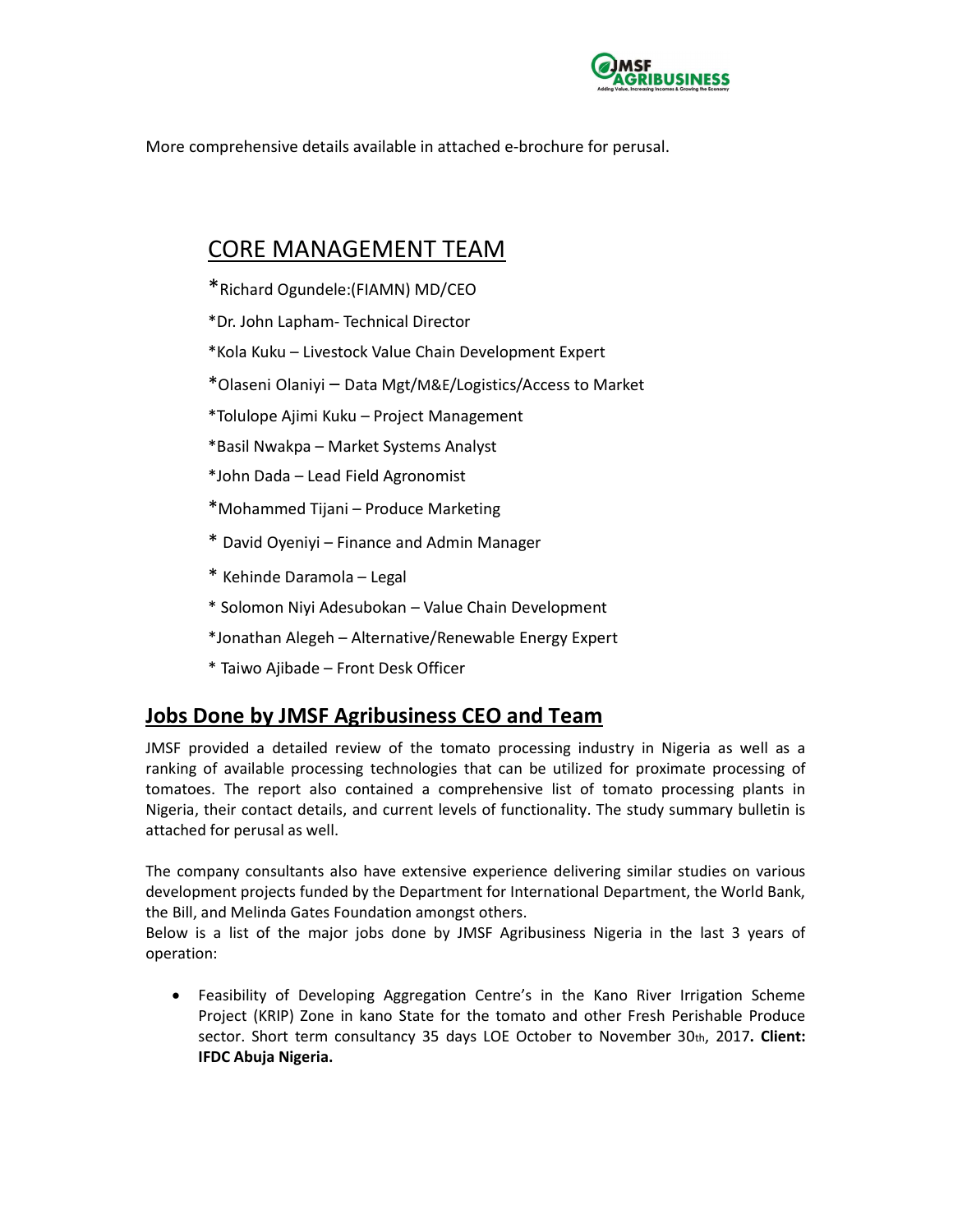

More comprehensive details available in attached e-brochure for perusal.

# CORE MANAGEMENT TEAM

- \*Richard Ogundele:(FIAMN) MD/CEO
- \*Dr. John Lapham- Technical Director
- \*Kola Kuku Livestock Value Chain Development Expert
- \*Olaseni Olaniyi Data Mgt/M&E/Logistics/Access to Market
- \*Tolulope Ajimi Kuku Project Management
- \*Basil Nwakpa Market Systems Analyst
- \*John Dada Lead Field Agronomist
- \*Mohammed Tijani Produce Marketing
- \* David Oyeniyi Finance and Admin Manager
- \* Kehinde Daramola Legal
- \* Solomon Niyi Adesubokan Value Chain Development
- \*Jonathan Alegeh Alternative/Renewable Energy Expert
- \* Taiwo Ajibade Front Desk Officer

## Jobs Done by JMSF Agribusiness CEO and Team

JMSF provided a detailed review of the tomato processing industry in Nigeria as well as a ranking of available processing technologies that can be utilized for proximate processing of tomatoes. The report also contained a comprehensive list of tomato processing plants in Nigeria, their contact details, and current levels of functionality. The study summary bulletin is attached for perusal as well.

The company consultants also have extensive experience delivering similar studies on various development projects funded by the Department for International Department, the World Bank, the Bill, and Melinda Gates Foundation amongst others.

Below is a list of the major jobs done by JMSF Agribusiness Nigeria in the last 3 years of operation:

 Feasibility of Developing Aggregation Centre's in the Kano River Irrigation Scheme Project (KRIP) Zone in kano State for the tomato and other Fresh Perishable Produce sector. Short term consultancy 35 days LOE October to November 30th, 2017. Client: IFDC Abuja Nigeria.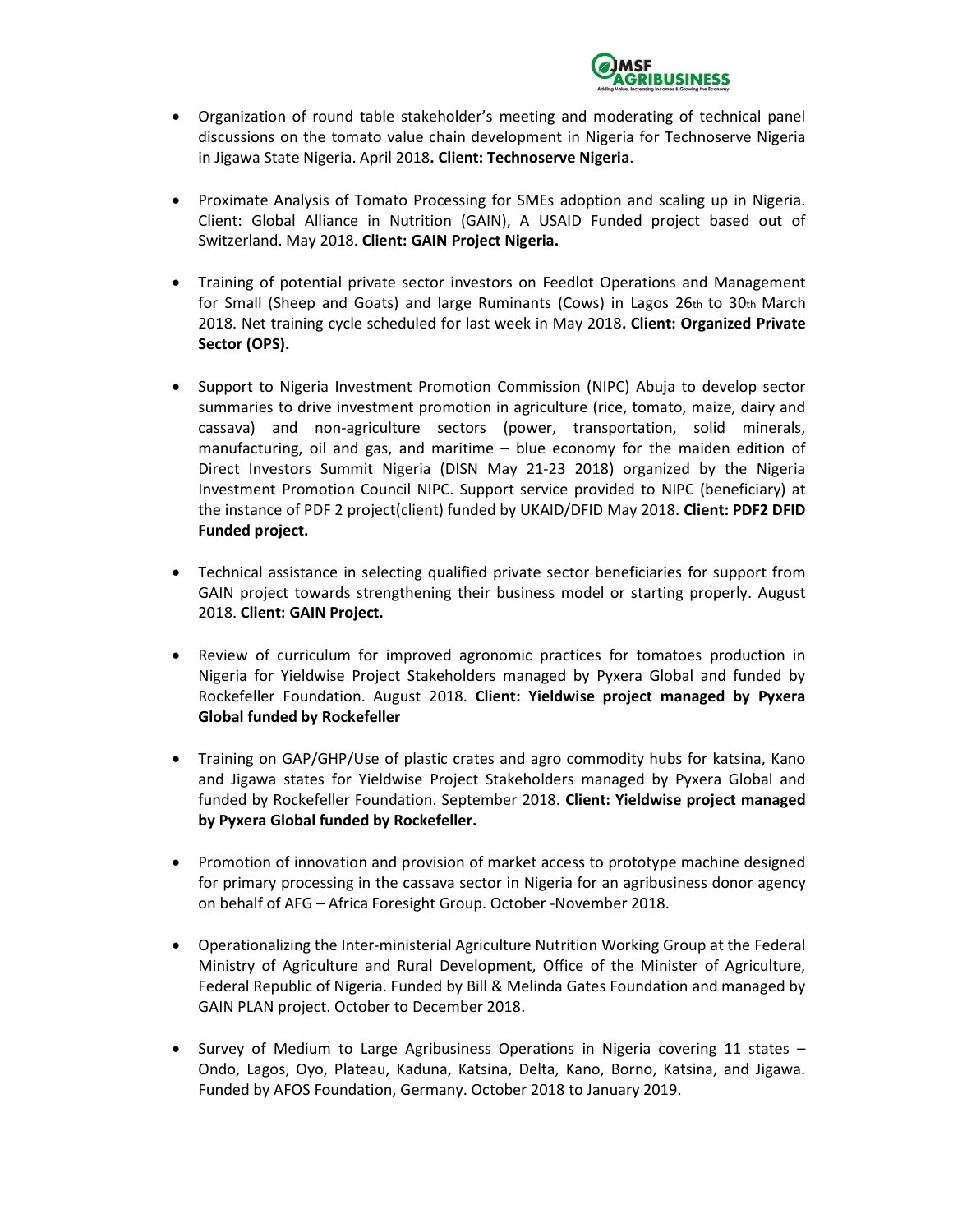

- Organization of round table stakeholder's meeting and moderating of technical panel discussions on the tomato value chain development in Nigeria for Technoserve Nigeria in Jigawa State Nigeria. April 2018. Client: Technoserve Nigeria.
- Proximate Analysis of Tomato Processing for SMEs adoption and scaling up in Nigeria. Client: Global Alliance in Nutrition (GAIN), A USAID Funded project based out of Switzerland. May 2018. Client: GAIN Project Nigeria.
- Training of potential private sector investors on Feedlot Operations and Management for Small (Sheep and Goats) and large Ruminants (Cows) in Lagos 26th to 30th March 2018. Net training cycle scheduled for last week in May 2018. Client: Organized Private Sector (OPS).
- Support to Nigeria Investment Promotion Commission (NIPC) Abuja to develop sector summaries to drive investment promotion in agriculture (rice, tomato, maize, dairy and cassava) and non-agriculture sectors (power, transportation, solid minerals, manufacturing, oil and gas, and maritime – blue economy for the maiden edition of Direct Investors Summit Nigeria (DISN May 21-23 2018) organized by the Nigeria Investment Promotion Council NIPC. Support service provided to NIPC (beneficiary) at the instance of PDF 2 project(client) funded by UKAID/DFID May 2018. Client: PDF2 DFID Funded project.
- Technical assistance in selecting qualified private sector beneficiaries for support from GAIN project towards strengthening their business model or starting properly. August 2018. Client: GAIN Project.
- Review of curriculum for improved agronomic practices for tomatoes production in Nigeria for Yieldwise Project Stakeholders managed by Pyxera Global and funded by Rockefeller Foundation. August 2018. Client: Yieldwise project managed by Pyxera Global funded by Rockefeller
- Training on GAP/GHP/Use of plastic crates and agro commodity hubs for katsina, Kano and Jigawa states for Yieldwise Project Stakeholders managed by Pyxera Global and funded by Rockefeller Foundation. September 2018. Client: Yieldwise project managed by Pyxera Global funded by Rockefeller.
- Promotion of innovation and provision of market access to prototype machine designed for primary processing in the cassava sector in Nigeria for an agribusiness donor agency on behalf of AFG – Africa Foresight Group. October -November 2018.
- Operationalizing the Inter-ministerial Agriculture Nutrition Working Group at the Federal Ministry of Agriculture and Rural Development, Office of the Minister of Agriculture, Federal Republic of Nigeria. Funded by Bill & Melinda Gates Foundation and managed by GAIN PLAN project. October to December 2018.
- Survey of Medium to Large Agribusiness Operations in Nigeria covering 11 states Ondo, Lagos, Oyo, Plateau, Kaduna, Katsina, Delta, Kano, Borno, Katsina, and Jigawa. Funded by AFOS Foundation, Germany. October 2018 to January 2019.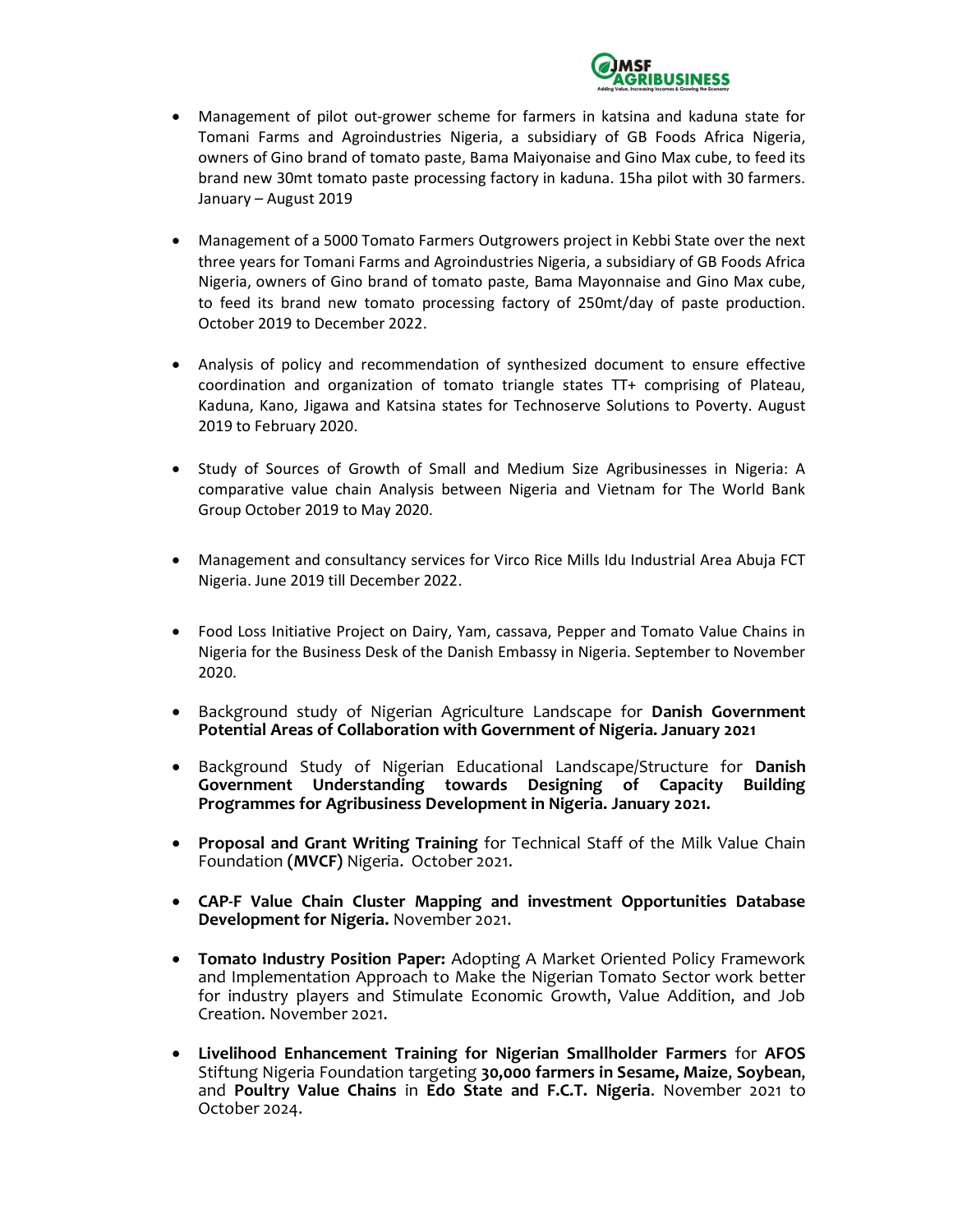

- Management of pilot out-grower scheme for farmers in katsina and kaduna state for Tomani Farms and Agroindustries Nigeria, a subsidiary of GB Foods Africa Nigeria, owners of Gino brand of tomato paste, Bama Maiyonaise and Gino Max cube, to feed its brand new 30mt tomato paste processing factory in kaduna. 15ha pilot with 30 farmers. January – August 2019
- Management of a 5000 Tomato Farmers Outgrowers project in Kebbi State over the next three years for Tomani Farms and Agroindustries Nigeria, a subsidiary of GB Foods Africa Nigeria, owners of Gino brand of tomato paste, Bama Mayonnaise and Gino Max cube, to feed its brand new tomato processing factory of 250mt/day of paste production. October 2019 to December 2022.
- Analysis of policy and recommendation of synthesized document to ensure effective coordination and organization of tomato triangle states TT+ comprising of Plateau, Kaduna, Kano, Jigawa and Katsina states for Technoserve Solutions to Poverty. August 2019 to February 2020.
- Study of Sources of Growth of Small and Medium Size Agribusinesses in Nigeria: A comparative value chain Analysis between Nigeria and Vietnam for The World Bank Group October 2019 to May 2020.
- Management and consultancy services for Virco Rice Mills Idu Industrial Area Abuja FCT Nigeria. June 2019 till December 2022.
- Food Loss Initiative Project on Dairy, Yam, cassava, Pepper and Tomato Value Chains in Nigeria for the Business Desk of the Danish Embassy in Nigeria. September to November 2020.
- Background study of Nigerian Agriculture Landscape for Danish Government Potential Areas of Collaboration with Government of Nigeria. January 2021
- Background Study of Nigerian Educational Landscape/Structure for Danish Government Understanding towards Designing of Capacity Building Programmes for Agribusiness Development in Nigeria. January 2021.
- Proposal and Grant Writing Training for Technical Staff of the Milk Value Chain Foundation (MVCF) Nigeria. October 2021.
- CAP-F Value Chain Cluster Mapping and investment Opportunities Database Development for Nigeria. November 2021.
- Tomato Industry Position Paper: Adopting A Market Oriented Policy Framework and Implementation Approach to Make the Nigerian Tomato Sector work better for industry players and Stimulate Economic Growth, Value Addition, and Job Creation. November 2021.
- Livelihood Enhancement Training for Nigerian Smallholder Farmers for AFOS Stiftung Nigeria Foundation targeting 30,000 farmers in Sesame, Maize, Soybean, and Poultry Value Chains in Edo State and F.C.T. Nigeria. November 2021 to October 2024.